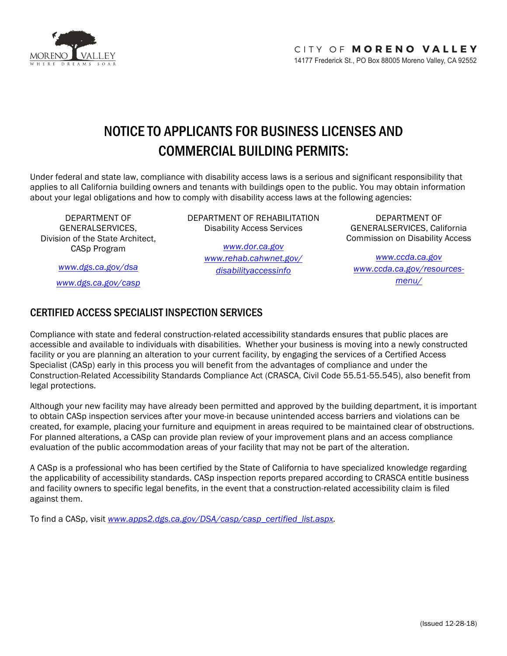

# NOTICE TO APPLICANTS FOR BUSINESS LICENSES AND COMMERCIAL BUILDING PERMITS:

Under federal and state law, compliance with disability access laws is a serious and significant responsibility that applies to all California building owners and tenants with buildings open to the public. You may obtain information about your legal obligations and how to comply with disability access laws at the following agencies:

DEPARTMENT OF GENERALSERVICES, Division of the State Architect, CASp Program

DEPARTMENT OF REHABILITATION Disability Access Services

> *www.dor.ca.gov www.rehab.cahwnet.gov/ disabilityaccessinfo*

DEPARTMENT OF GENERALSERVICES, California Commission on Disability Access

*www.ccda.ca.gov www.ccda.ca.gov/resourcesmenu/*

*www.dgs.ca.gov/dsa*

*www.dgs.ca.gov/casp*

## CERTIFIED ACCESS SPECIALIST INSPECTION SERVICES

Compliance with state and federal construction-related accessibility standards ensures that public places are accessible and available to individuals with disabilities. Whether your business is moving into a newly constructed facility or you are planning an alteration to your current facility, by engaging the services of a Certified Access Specialist (CASp) early in this process you will benefit from the advantages of compliance and under the Construction-Related Accessibility Standards Compliance Act (CRASCA, Civil Code 55.51-55.545), also benefit from legal protections.

Although your new facility may have already been permitted and approved by the building department, it is important to obtain CASp inspection services after your move-in because unintended access barriers and violations can be created, for example, placing your furniture and equipment in areas required to be maintained clear of obstructions. For planned alterations, a CASp can provide plan review of your improvement plans and an access compliance evaluation of the public accommodation areas of your facility that may not be part of the alteration.

A CASp is a professional who has been certified by the State of California to have specialized knowledge regarding the applicability of accessibility standards. CASp inspection reports prepared according to CRASCA entitle business and facility owners to specific legal benefits, in the event that a construction-related accessibility claim is filed against them.

To find a CASp, visit *www.apps2.dgs.ca.gov/DSA/casp/casp\_certified\_list.aspx.*